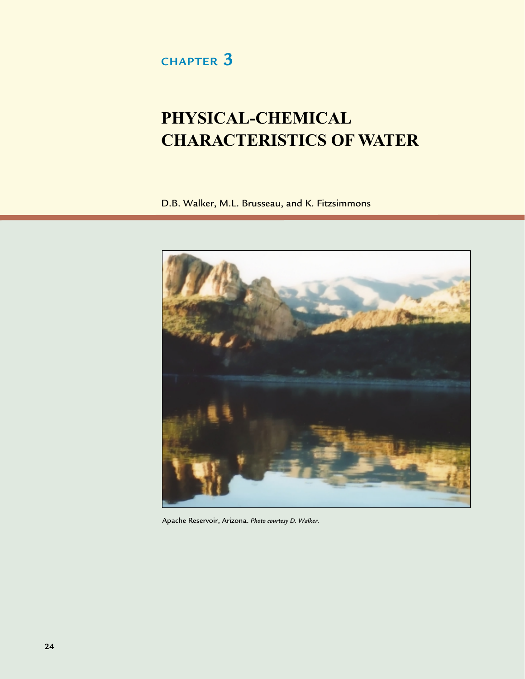## **CHAPTER 3**

# **PHYSICAL-CHEMICAL CHARACTERISTICS OF WATER**

D.B. Walker, M.L. Brusseau, and K. Fitzsimmons



Apache Reservoir, Arizona. *Photo courtesy D. Walker.*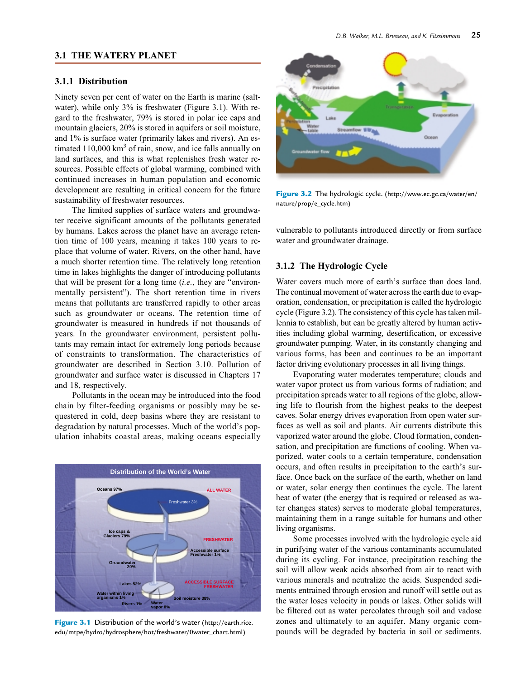#### **3.1 THE WATERY PLANET**

#### **3.1.1 Distribution**

Ninety seven per cent of water on the Earth is marine (saltwater), while only 3% is freshwater (Figure 3.1). With regard to the freshwater, 79% is stored in polar ice caps and mountain glaciers, 20% is stored in aquifers or soil moisture, and 1% is surface water (primarily lakes and rivers). An estimated  $110,000 \text{ km}^3$  of rain, snow, and ice falls annually on land surfaces, and this is what replenishes fresh water resources. Possible effects of global warming, combined with continued increases in human population and economic development are resulting in critical concern for the future sustainability of freshwater resources.

The limited supplies of surface waters and groundwater receive significant amounts of the pollutants generated by humans. Lakes across the planet have an average retention time of 100 years, meaning it takes 100 years to replace that volume of water. Rivers, on the other hand, have a much shorter retention time. The relatively long retention time in lakes highlights the danger of introducing pollutants that will be present for a long time (*i.e.*, they are "environmentally persistent"). The short retention time in rivers means that pollutants are transferred rapidly to other areas such as groundwater or oceans. The retention time of groundwater is measured in hundreds if not thousands of years. In the groundwater environment, persistent pollutants may remain intact for extremely long periods because of constraints to transformation. The characteristics of groundwater are described in Section 3.10. Pollution of groundwater and surface water is discussed in Chapters 17 and 18, respectively.

Pollutants in the ocean may be introduced into the food chain by filter-feeding organisms or possibly may be sequestered in cold, deep basins where they are resistant to degradation by natural processes. Much of the world's population inhabits coastal areas, making oceans especially



**Figure 3.1** Distribution of the world's water (http://earth.rice. edu/mtpe/hydro/hydrosphere/hot/freshwater/0water\_chart.html)



**Figure 3.2** The hydrologic cycle. (http://www.ec.gc.ca/water/en/ nature/prop/e\_cycle.htm)

vulnerable to pollutants introduced directly or from surface water and groundwater drainage.

## **3.1.2 The Hydrologic Cycle**

Water covers much more of earth's surface than does land. The continual movement of water across the earth due to evaporation, condensation, or precipitation is called the hydrologic cycle (Figure 3.2). The consistency of this cycle has taken millennia to establish, but can be greatly altered by human activities including global warming, desertification, or excessive groundwater pumping. Water, in its constantly changing and various forms, has been and continues to be an important factor driving evolutionary processes in all living things.

Evaporating water moderates temperature; clouds and water vapor protect us from various forms of radiation; and precipitation spreads water to all regions of the globe, allowing life to flourish from the highest peaks to the deepest caves. Solar energy drives evaporation from open water surfaces as well as soil and plants. Air currents distribute this vaporized water around the globe. Cloud formation, condensation, and precipitation are functions of cooling. When vaporized, water cools to a certain temperature, condensation occurs, and often results in precipitation to the earth's surface. Once back on the surface of the earth, whether on land or water, solar energy then continues the cycle. The latent heat of water (the energy that is required or released as water changes states) serves to moderate global temperatures, maintaining them in a range suitable for humans and other living organisms.

Some processes involved with the hydrologic cycle aid in purifying water of the various contaminants accumulated during its cycling. For instance, precipitation reaching the soil will allow weak acids absorbed from air to react with various minerals and neutralize the acids. Suspended sediments entrained through erosion and runoff will settle out as the water loses velocity in ponds or lakes. Other solids will be filtered out as water percolates through soil and vadose zones and ultimately to an aquifer. Many organic compounds will be degraded by bacteria in soil or sediments.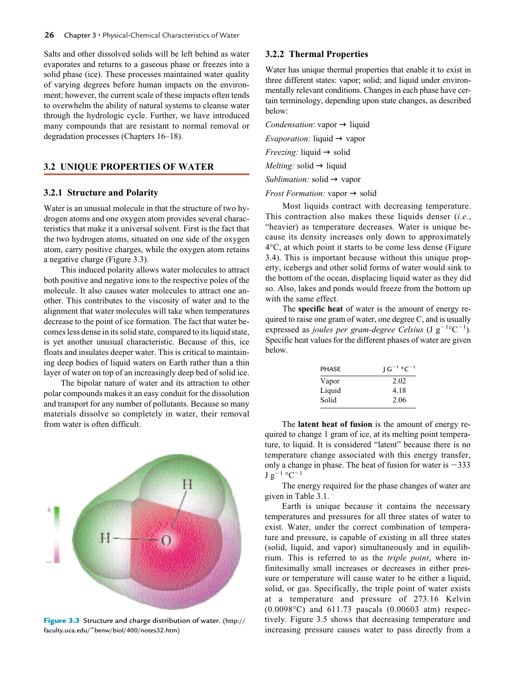Salts and other dissolved solids will be left behind as water evaporates and returns to a gaseous phase or freezes into a solid phase (ice). These processes maintained water quality of varying degrees before human impacts on the environment; however, the current scale of these impacts often tends to overwhelm the ability of natural systems to cleanse water through the hydrologic cycle. Further, we have introduced many compounds that are resistant to normal removal or degradation processes (Chapters 16–18).

#### **3.2 UNIQUE PROPERTIES OF WATER**

#### **3.2.1 Structure and Polarity**

Water is an unusual molecule in that the structure of two hydrogen atoms and one oxygen atom provides several characteristics that make it a universal solvent. First is the fact that the two hydrogen atoms, situated on one side of the oxygen atom, carry positive charges, while the oxygen atom retains a negative charge (Figure 3.3).

This induced polarity allows water molecules to attract both positive and negative ions to the respective poles of the molecule. It also causes water molecules to attract one another. This contributes to the viscosity of water and to the alignment that water molecules will take when temperatures decrease to the point of ice formation. The fact that water becomes less dense in its solid state, compared to its liquid state, is yet another unusual characteristic. Because of this, ice floats and insulates deeper water. This is critical to maintaining deep bodies of liquid waters on Earth rather than a thin layer of water on top of an increasingly deep bed of solid ice.

The bipolar nature of water and its attraction to other polar compounds makes it an easy conduit for the dissolution and transport for any number of pollutants. Because so many materials dissolve so completely in water, their removal from water is often difficult.



**Figure 3.3** Structure and charge distribution of water. (http:// faculty.uca.edu/~benw/biol/400/notes32.htm)

#### **3.2.2 Thermal Properties**

Water has unique thermal properties that enable it to exist in three different states: vapor; solid; and liquid under environmentally relevant conditions. Changes in each phase have certain terminology, depending upon state changes, as described below:

*Condensation*: vapor  $\rightarrow$  liquid *Evaporation:* liquid → vapor *Freezing:* liquid  $\rightarrow$  solid  $Melting: solid \rightarrow liquid$ *Sublimation:* solid → vapor *Frost Formation:* vapor → solid

Most liquids contract with decreasing temperature. This contraction also makes these liquids denser (*i.e.*, "heavier) as temperature decreases. Water is unique because its density increases only down to approximately 4°C, at which point it starts to be come less dense (Figure 3.4). This is important because without this unique property, icebergs and other solid forms of water would sink to the bottom of the ocean, displacing liquid water as they did so. Also, lakes and ponds would freeze from the bottom up with the same effect.

The **specific heat** of water is the amount of energy required to raise one gram of water, one degree C, and is usually expressed as *joules per gram-degree Celsius* (J  $g^{-1}$ °C<sup>-1</sup>). Specific heat values for the different phases of water are given below.

| <b>PHASE</b> | $J G^{-1} °C^{-1}$ |
|--------------|--------------------|
| Vapor        | 2.02               |
| Liquid       | 4.18               |
| Solid        | 2.06               |
|              |                    |

The **latent heat of fusion** is the amount of energy required to change 1 gram of ice, at its melting point temperature, to liquid. It is considered "latent" because there is no temperature change associated with this energy transfer, only a change in phase. The heat of fusion for water is  $-333$  $J g^{-1} {}^{\circ}C^{-1}$ 

The energy required for the phase changes of water are given in Table 3.1.

Earth is unique because it contains the necessary temperatures and pressures for all three states of water to exist. Water, under the correct combination of temperature and pressure, is capable of existing in all three states (solid, liquid, and vapor) simultaneously and in equilibrium. This is referred to as the *triple point*, where infinitesimally small increases or decreases in either pressure or temperature will cause water to be either a liquid, solid, or gas. Specifically, the triple point of water exists at a temperature and pressure of 273.16 Kelvin (0.0098°C) and 611.73 pascals (0.00603 atm) respectively. Figure 3.5 shows that decreasing temperature and increasing pressure causes water to pass directly from a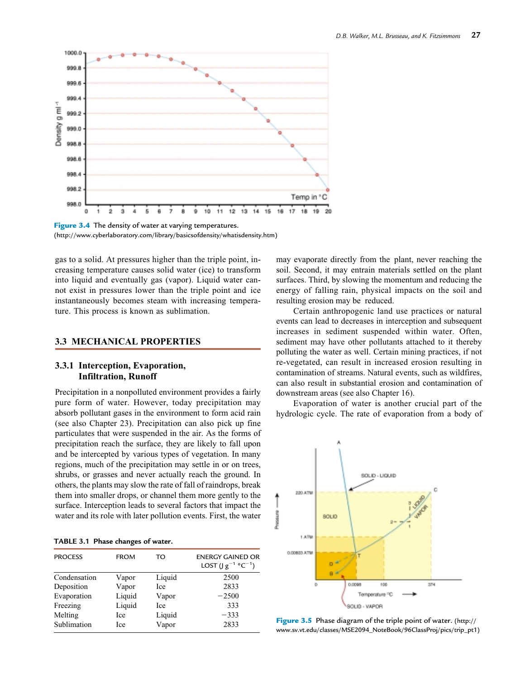



gas to a solid. At pressures higher than the triple point, increasing temperature causes solid water (ice) to transform into liquid and eventually gas (vapor). Liquid water cannot exist in pressures lower than the triple point and ice instantaneously becomes steam with increasing temperature. This process is known as sublimation.

#### **3.3 MECHANICAL PROPERTIES**

## **3.3.1 Interception, Evaporation, Infiltration, Runoff**

Precipitation in a nonpolluted environment provides a fairly pure form of water. However, today precipitation may absorb pollutant gases in the environment to form acid rain (see also Chapter 23). Precipitation can also pick up fine particulates that were suspended in the air. As the forms of precipitation reach the surface, they are likely to fall upon and be intercepted by various types of vegetation. In many regions, much of the precipitation may settle in or on trees, shrubs, or grasses and never actually reach the ground. In others, the plants may slow the rate of fall of raindrops, break them into smaller drops, or channel them more gently to the surface. Interception leads to several factors that impact the water and its role with later pollution events. First, the water

**TABLE 3.1 Phase changes of water.**

| <b>PROCESS</b> | <b>FROM</b> | TO.        | <b>ENERGY GAINED OR</b><br>LOST $(J g^{-1} °C^{-1})$ |
|----------------|-------------|------------|------------------------------------------------------|
| Condensation   | Vapor       | Liquid     | 2500                                                 |
| Deposition     | Vapor       | <b>Ice</b> | 2833                                                 |
| Evaporation    | Liquid      | Vapor      | $-2500$                                              |
| Freezing       | Liquid      | <b>Ice</b> | 333                                                  |
| Melting        | Ice         | Liquid     | $-333$                                               |
| Sublimation    | Ice         | Vapor      | 2833                                                 |

may evaporate directly from the plant, never reaching the soil. Second, it may entrain materials settled on the plant surfaces. Third, by slowing the momentum and reducing the energy of falling rain, physical impacts on the soil and resulting erosion may be reduced.

Certain anthropogenic land use practices or natural events can lead to decreases in interception and subsequent increases in sediment suspended within water. Often, sediment may have other pollutants attached to it thereby polluting the water as well. Certain mining practices, if not re-vegetated, can result in increased erosion resulting in contamination of streams. Natural events, such as wildfires, can also result in substantial erosion and contamination of downstream areas (see also Chapter 16).

Evaporation of water is another crucial part of the hydrologic cycle. The rate of evaporation from a body of



Figure 3.5 Phase diagram of the triple point of water. (http:// www.sv.vt.edu/classes/MSE2094\_NoteBook/96ClassProj/pics/trip\_pt1)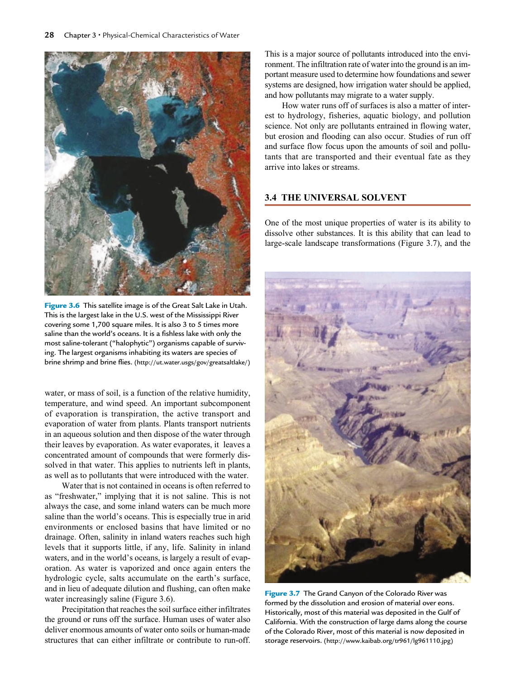

**Figure 3.6** This satellite image is of the Great Salt Lake in Utah. This is the largest lake in the U.S. west of the Mississippi River covering some 1,700 square miles. It is also 3 to 5 times more saline than the world's oceans. It is a fishless lake with only the most saline-tolerant ("halophytic") organisms capable of surviving. The largest organisms inhabiting its waters are species of brine shrimp and brine flies. (http://ut.water.usgs/gov/greatsaltlake/)

water, or mass of soil, is a function of the relative humidity, temperature, and wind speed. An important subcomponent of evaporation is transpiration, the active transport and evaporation of water from plants. Plants transport nutrients in an aqueous solution and then dispose of the water through their leaves by evaporation. As water evaporates, it leaves a concentrated amount of compounds that were formerly dissolved in that water. This applies to nutrients left in plants, as well as to pollutants that were introduced with the water.

Water that is not contained in oceans is often referred to as "freshwater," implying that it is not saline. This is not always the case, and some inland waters can be much more saline than the world's oceans. This is especially true in arid environments or enclosed basins that have limited or no drainage. Often, salinity in inland waters reaches such high levels that it supports little, if any, life. Salinity in inland waters, and in the world's oceans, is largely a result of evaporation. As water is vaporized and once again enters the hydrologic cycle, salts accumulate on the earth's surface, and in lieu of adequate dilution and flushing, can often make water increasingly saline (Figure 3.6).

Precipitation that reaches the soil surface either infiltrates the ground or runs off the surface. Human uses of water also deliver enormous amounts of water onto soils or human-made structures that can either infiltrate or contribute to run-off.

This is a major source of pollutants introduced into the environment. The infiltration rate of water into the ground is an important measure used to determine how foundations and sewer systems are designed, how irrigation water should be applied, and how pollutants may migrate to a water supply.

How water runs off of surfaces is also a matter of interest to hydrology, fisheries, aquatic biology, and pollution science. Not only are pollutants entrained in flowing water, but erosion and flooding can also occur. Studies of run off and surface flow focus upon the amounts of soil and pollutants that are transported and their eventual fate as they arrive into lakes or streams.

## **3.4 THE UNIVERSAL SOLVENT**

One of the most unique properties of water is its ability to dissolve other substances. It is this ability that can lead to large-scale landscape transformations (Figure 3.7), and the



**Figure 3.7** The Grand Canyon of the Colorado River was formed by the dissolution and erosion of material over eons. Historically, most of this material was deposited in the Gulf of California. With the construction of large dams along the course of the Colorado River, most of this material is now deposited in storage reservoirs. (http://www.kaibab.org/tr961/lg961110.jpg)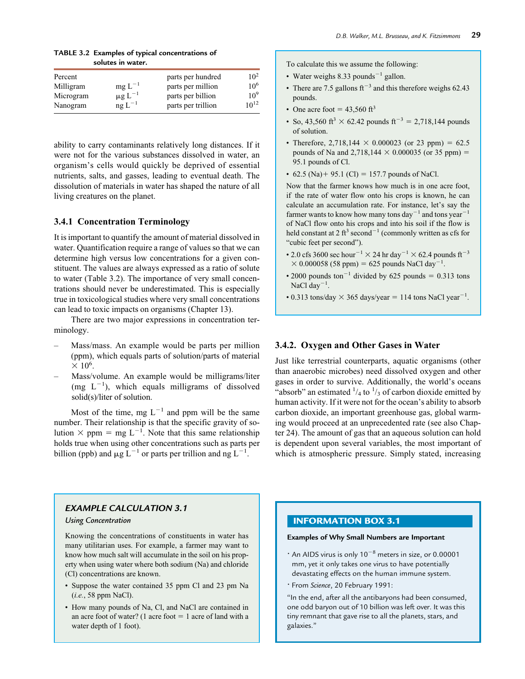**TABLE 3.2 Examples of typical concentrations of solutes in water.**

| Percent   |                         | parts per hundred  | $10^2$          |
|-----------|-------------------------|--------------------|-----------------|
| Milligram | $mgL^{-1}$              | parts per million  | 10 <sup>6</sup> |
| Microgram | $\mu$ g L <sup>-1</sup> | parts per billion  | $10^{9}$        |
| Nanogram  | $ng L^{-1}$             | parts per trillion | $10^{12}$       |

ability to carry contaminants relatively long distances. If it were not for the various substances dissolved in water, an organism's cells would quickly be deprived of essential nutrients, salts, and gasses, leading to eventual death. The dissolution of materials in water has shaped the nature of all living creatures on the planet.

#### **3.4.1 Concentration Terminology**

It is important to quantify the amount of material dissolved in water. Quantification require a range of values so that we can determine high versus low concentrations for a given constituent. The values are always expressed as a ratio of solute to water (Table 3.2). The importance of very small concentrations should never be underestimated. This is especially true in toxicological studies where very small concentrations can lead to toxic impacts on organisms (Chapter 13).

There are two major expressions in concentration terminology.

- Mass/mass. An example would be parts per million (ppm), which equals parts of solution/parts of material  $\times$  10<sup>6</sup>.
- Mass/volume. An example would be milligrams/liter  $(mg L^{-1})$ , which equals milligrams of dissolved solid(s)/liter of solution.

Most of the time, mg  $L^{-1}$  and ppm will be the same number. Their relationship is that the specific gravity of solution  $\times$  ppm = mg L<sup>-1</sup>. Note that this same relationship holds true when using other concentrations such as parts per billion (ppb) and  $\mu$ g L<sup>-1</sup> or parts per trillion and ng L<sup>-1</sup>.

To calculate this we assume the following:

- Water weighs 8.33 pounds<sup> $-1$ </sup> gallon.
- There are 7.5 gallons  $ft^{-3}$  and this therefore weighs 62.43 pounds.
- One acre foot  $= 43,560 \text{ ft}^3$
- So, 43,560 ft<sup>3</sup>  $\times$  62.42 pounds ft<sup>-3</sup> = 2,718,144 pounds of solution.
- Therefore, 2,718,144  $\times$  0.000023 (or 23 ppm) = 62.5 pounds of Na and 2,718,144  $\times$  0.000035 (or 35 ppm) = 95.1 pounds of Cl.
- 62.5 (Na) + 95.1 (Cl) = 157.7 pounds of NaCl.

Now that the farmer knows how much is in one acre foot, if the rate of water flow onto his crops is known, he can calculate an accumulation rate. For instance, let's say the farmer wants to know how many tons  $day^{-1}$  and tons year<sup>-1</sup> of NaCl flow onto his crops and into his soil if the flow is held constant at 2 ft<sup>3</sup> second<sup>-1</sup> (commonly written as cfs for "cubic feet per second").

- 2.0 cfs 3600 sec hour<sup>-1</sup>  $\times$  24 hr day<sup>-1</sup>  $\times$  62.4 pounds ft<sup>-3</sup>  $\times$  0.000058 (58 ppm) = 625 pounds NaCl day<sup>-1</sup>.
- 2000 pounds ton<sup>-1</sup> divided by 625 pounds = 0.313 tons NaCl day $^{-1}$ .
- 0.313 tons/day  $\times$  365 days/year = 114 tons NaCl year<sup>-1</sup>.

#### **3.4.2. Oxygen and Other Gases in Water**

Just like terrestrial counterparts, aquatic organisms (other than anaerobic microbes) need dissolved oxygen and other gases in order to survive. Additionally, the world's oceans "absorb" an estimated  $\frac{1}{4}$  to  $\frac{1}{3}$  of carbon dioxide emitted by human activity. If it were not for the ocean's ability to absorb carbon dioxide, an important greenhouse gas, global warming would proceed at an unprecedented rate (see also Chapter 24). The amount of gas that an aqueous solution can hold is dependent upon several variables, the most important of which is atmospheric pressure. Simply stated, increasing

## *EXAMPLE CALCULATION 3.1*

#### *Using Concentration*

Knowing the concentrations of constituents in water has many utilitarian uses. For example, a farmer may want to know how much salt will accumulate in the soil on his property when using water where both sodium (Na) and chloride (Cl) concentrations are known.

- Suppose the water contained 35 ppm Cl and 23 pm Na (*i.e.*, 58 ppm NaCl).
- How many pounds of Na, Cl, and NaCl are contained in an acre foot of water? (1 acre foot  $= 1$  acre of land with a water depth of 1 foot).

#### **INFORMATION BOX 3.1**

#### **Examples of Why Small Numbers are Important**

- $\cdot$  An AIDS virus is only 10 $^{-8}$  meters in size, or 0.00001 mm, yet it only takes one virus to have potentially devastating effects on the human immune system.
- From *Science*, 20 February 1991:

"In the end, after all the antibaryons had been consumed, one odd baryon out of 10 billion was left over. It was this tiny remnant that gave rise to all the planets, stars, and galaxies."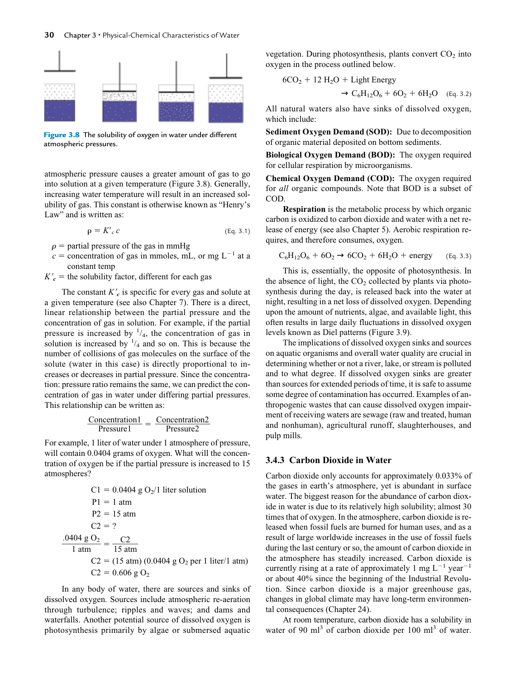

**Figure 3.8** The solubility of oxygen in water under different atmospheric pressures.

atmospheric pressure causes a greater amount of gas to go into solution at a given temperature (Figure 3.8). Generally, increasing water temperature will result in an increased solubility of gas. This constant is otherwise known as "Henry's Law" and is written as:

$$
\rho = K'_{c} c \tag{Eq. 3.1}
$$

- $\rho$  = partial pressure of the gas in mmHg
- $c =$  concentration of gas in mmoles, mL, or mg  $L^{-1}$  at a constant temp
- $K_c'$  = the solubility factor, different for each gas

The constant  $K_c$  is specific for every gas and solute at a given temperature (see also Chapter 7). There is a direct, linear relationship between the partial pressure and the concentration of gas in solution. For example, if the partial pressure is increased by  $\frac{1}{4}$ , the concentration of gas in solution is increased by  $\frac{1}{4}$  and so on. This is because the number of collisions of gas molecules on the surface of the solute (water in this case) is directly proportional to increases or decreases in partial pressure. Since the concentration: pressure ratio remains the same, we can predict the concentration of gas in water under differing partial pressures.

This relationship can be written as:  
\n
$$
\frac{\text{Concentration1}}{\text{Pressure1}} = \frac{\text{Concentration2}}{\text{Pressure2}}
$$

For example, 1 liter of water under 1 atmosphere of pressure, will contain 0.0404 grams of oxygen. What will the concentration of oxygen be if the partial pressure is increased to 15 atmospheres?

C1 = 0.0404 g O<sub>2</sub>/1 liter solution  
\nP1 = 1 atm  
\nP2 = 15 atm  
\nC2 = ?  
\n
$$
\frac{.0404 g O2}{1 atm} = \frac{C2}{15 atm}
$$
\nC2 = (15 atm) (0.0404 g O<sub>2</sub> per 1 liter/1 atm)  
\nC2 = 0.606 g O<sub>2</sub>

In any body of water, there are sources and sinks of dissolved oxygen. Sources include atmospheric re-aeration through turbulence; ripples and waves; and dams and waterfalls. Another potential source of dissolved oxygen is photosynthesis primarily by algae or submersed aquatic

vegetation. During photosynthesis, plants convert  $CO<sub>2</sub>$  into oxygen in the process outlined below.

$$
6CO2 + 12 H2O + Light Energy
$$

$$
\rightarrow C_6H_{12}O_6 + 6O_2 + 6H_2O \quad (Eq. 3.2)
$$

All natural waters also have sinks of dissolved oxygen, which include:

**Sediment Oxygen Demand (SOD):** Due to decomposition of organic material deposited on bottom sediments.

**Biological Oxygen Demand (BOD):** The oxygen required for cellular respiration by microorganisms.

**Chemical Oxygen Demand (COD):** The oxygen required for *all* organic compounds. Note that BOD is a subset of COD.

**Respiration** is the metabolic process by which organic carbon is oxidized to carbon dioxide and water with a net release of energy (see also Chapter 5). Aerobic respiration requires, and therefore consumes, oxygen.

$$
C_6H_{12}O_6 + 6O_2 \rightarrow 6CO_2 + 6H_2O + energy
$$
 (Eq. 3.3)

This is, essentially, the opposite of photosynthesis. In the absence of light, the  $CO<sub>2</sub>$  collected by plants via photosynthesis during the day, is released back into the water at night, resulting in a net loss of dissolved oxygen. Depending upon the amount of nutrients, algae, and available light, this often results in large daily fluctuations in dissolved oxygen levels known as Diel patterns (Figure 3.9).

The implications of dissolved oxygen sinks and sources on aquatic organisms and overall water quality are crucial in determining whether or not a river, lake, or stream is polluted and to what degree. If dissolved oxygen sinks are greater than sources for extended periods of time, it is safe to assume some degree of contamination has occurred. Examples of anthropogenic wastes that can cause dissolved oxygen impairment of receiving waters are sewage (raw and treated, human and nonhuman), agricultural runoff, slaughterhouses, and pulp mills.

### **3.4.3 Carbon Dioxide in Water**

Carbon dioxide only accounts for approximately 0.033% of the gases in earth's atmosphere, yet is abundant in surface water. The biggest reason for the abundance of carbon dioxide in water is due to its relatively high solubility; almost 30 times that of oxygen. In the atmosphere, carbon dioxide is released when fossil fuels are burned for human uses, and as a result of large worldwide increases in the use of fossil fuels during the last century or so, the amount of carbon dioxide in the atmosphere has steadily increased. Carbon dioxide is currently rising at a rate of approximately 1 mg  $L^{-1}$  year<sup>-1</sup> or about 40% since the beginning of the Industrial Revolution. Since carbon dioxide is a major greenhouse gas, changes in global climate may have long-term environmental consequences (Chapter 24).

At room temperature, carbon dioxide has a solubility in water of 90 ml<sup>3</sup> of carbon dioxide per 100 ml<sup>3</sup> of water.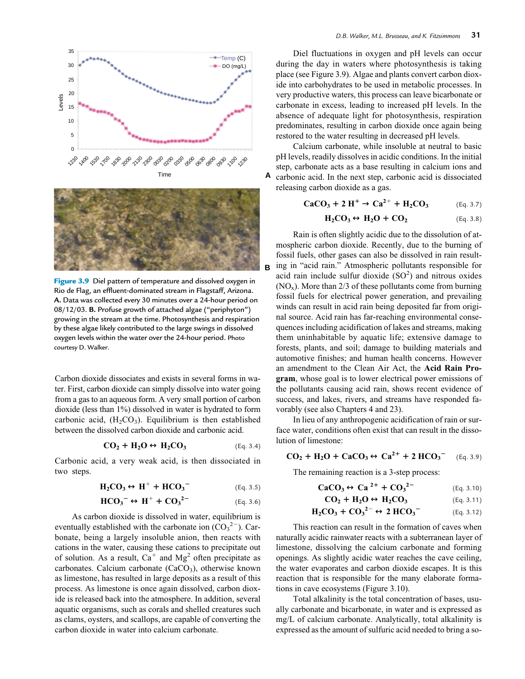



**B**

**Figure 3.9** Diel pattern of temperature and dissolved oxygen in Rio de Flag, an effluent-dominated stream in Flagstaff, Arizona. **A.** Data was collected every 30 minutes over a 24-hour period on 08/12/03. **B.** Profuse growth of attached algae ("periphyton") growing in the stream at the time. Photosynthesis and respiration by these algae likely contributed to the large swings in dissolved oxygen levels within the water over the 24-hour period. Photo courtesy D. Walker.

Carbon dioxide dissociates and exists in several forms in water. First, carbon dioxide can simply dissolve into water going from a gas to an aqueous form. A very small portion of carbon dioxide (less than 1%) dissolved in water is hydrated to form carbonic acid,  $(H_2CO_3)$ . Equilibrium is then established between the dissolved carbon dioxide and carbonic acid.

$$
CO2 + H2O \leftrightarrow H2CO3
$$
 (Eq. 3.4)

Carbonic acid, a very weak acid, is then dissociated in two steps.

$$
\text{H}_2\text{CO}_3 \leftrightarrow \text{H}^+ + \text{HCO}_3^- \tag{Eq. 3.5}
$$

$$
\text{HCO}_3^- \leftrightarrow \text{H}^+ + \text{CO}_3{}^{2-} \tag{Eq. 3.6}
$$

As carbon dioxide is dissolved in water, equilibrium is eventually established with the carbonate ion  $(CO_3^2)$ . Carbonate, being a largely insoluble anion, then reacts with cations in the water, causing these cations to precipitate out of solution. As a result,  $Ca^+$  and  $Mg^2$  often precipitate as carbonates. Calcium carbonate  $(CaCO<sub>3</sub>)$ , otherwise known as limestone, has resulted in large deposits as a result of this process. As limestone is once again dissolved, carbon dioxide is released back into the atmosphere. In addition, several aquatic organisms, such as corals and shelled creatures such as clams, oysters, and scallops, are capable of converting the carbon dioxide in water into calcium carbonate.

Diel fluctuations in oxygen and pH levels can occur during the day in waters where photosynthesis is taking place (see Figure 3.9). Algae and plants convert carbon dioxide into carbohydrates to be used in metabolic processes. In very productive waters, this process can leave bicarbonate or carbonate in excess, leading to increased pH levels. In the absence of adequate light for photosynthesis, respiration predominates, resulting in carbon dioxide once again being restored to the water resulting in decreased pH levels.

Calcium carbonate, while insoluble at neutral to basic pH levels, readily dissolves in acidic conditions. In the initial step, carbonate acts as a base resulting in calcium ions and carbonic acid. In the next step, carbonic acid is dissociated releasing carbon dioxide as a gas.

 $CaCO<sub>3</sub> + 2 H<sup>+</sup> \rightarrow Ca<sup>2+</sup> + H<sub>2</sub>CO<sub>3</sub>$  (Eq. 3.7)

$$
H_2CO_3 \leftrightarrow H_2O + CO_2 \qquad \qquad (\text{Eq. 3.8})
$$

Rain is often slightly acidic due to the dissolution of atmospheric carbon dioxide. Recently, due to the burning of fossil fuels, other gases can also be dissolved in rain resulting in "acid rain." Atmospheric pollutants responsible for acid rain include sulfur dioxide  $(SO<sup>2</sup>)$  and nitrous oxides  $(NO<sub>x</sub>)$ . More than 2/3 of these pollutants come from burning fossil fuels for electrical power generation, and prevailing winds can result in acid rain being deposited far from original source. Acid rain has far-reaching environmental consequences including acidification of lakes and streams, making them uninhabitable by aquatic life; extensive damage to forests, plants, and soil; damage to building materials and automotive finishes; and human health concerns. However an amendment to the Clean Air Act, the **Acid Rain Program**, whose goal is to lower electrical power emissions of the pollutants causing acid rain, shows recent evidence of success, and lakes, rivers, and streams have responded favorably (see also Chapters 4 and 23).

In lieu of any anthropogenic acidification of rain or surface water, conditions often exist that can result in the dissolution of limestone:

 $CO_2 + H_2O + CaCO_3 \leftrightarrow Ca^{2+} + 2 HCO_3$ (Eq. 3.9)

The remaining reaction is a 3-step process:

$$
\mathbf{CaCO_3} \leftrightarrow \mathbf{Ca}^{2+} + \mathbf{CO_3}^{2-} \tag{Eq. 3.10}
$$

$$
CO2 + H2O \leftrightarrow H2CO3
$$
 (Eq. 3.11)

$$
H_2CO_3 + CO_3^{2-} \leftrightarrow 2 \text{ HCO}_3 \qquad \qquad \text{(Eq. 3.12)}
$$

This reaction can result in the formation of caves when naturally acidic rainwater reacts with a subterranean layer of limestone, dissolving the calcium carbonate and forming openings. As slightly acidic water reaches the cave ceiling, the water evaporates and carbon dioxide escapes. It is this reaction that is responsible for the many elaborate formations in cave ecosystems (Figure 3.10).

Total alkalinity is the total concentration of bases, usually carbonate and bicarbonate, in water and is expressed as mg/L of calcium carbonate. Analytically, total alkalinity is expressed as the amount of sulfuric acid needed to bring a so-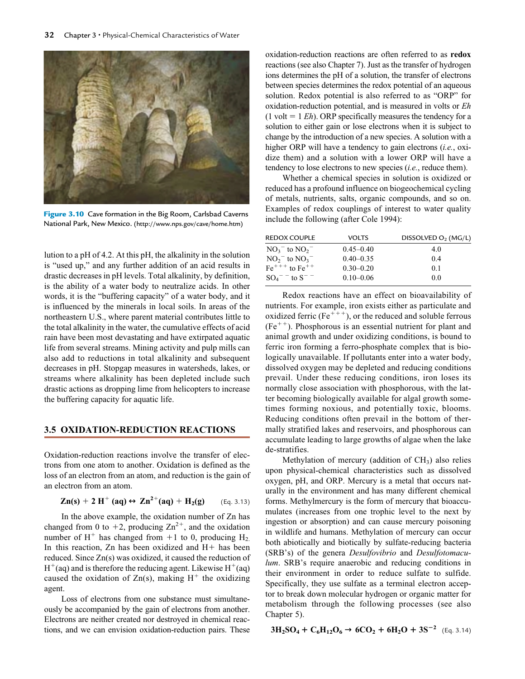

**Figure 3.10** Cave formation in the Big Room, Carlsbad Caverns National Park, New Mexico. (http://www.nps.gov/cave/home.htm)

lution to a pH of 4.2. At this pH, the alkalinity in the solution is "used up," and any further addition of an acid results in drastic decreases in pH levels. Total alkalinity, by definition, is the ability of a water body to neutralize acids. In other words, it is the "buffering capacity" of a water body, and it is influenced by the minerals in local soils. In areas of the northeastern U.S., where parent material contributes little to the total alkalinity in the water, the cumulative effects of acid rain have been most devastating and have extirpated aquatic life from several streams. Mining activity and pulp mills can also add to reductions in total alkalinity and subsequent decreases in pH. Stopgap measures in watersheds, lakes, or streams where alkalinity has been depleted include such drastic actions as dropping lime from helicopters to increase the buffering capacity for aquatic life.

#### **3.5 OXIDATION-REDUCTION REACTIONS**

Oxidation-reduction reactions involve the transfer of electrons from one atom to another. Oxidation is defined as the loss of an electron from an atom, and reduction is the gain of an electron from an atom.

$$
Zn(s) + 2 H+ (aq) \leftrightarrow Zn2+ (aq) + H2(g) \qquad (Eq. 3.13)
$$

In the above example, the oxidation number of Zn has changed from 0 to +2, producing  $\text{Zn}^{2+}$ , and the oxidation number of H<sup>+</sup> has changed from +1 to 0, producing  $H_2$ . In this reaction, Zn has been oxidized and  $H+$  has been reduced. Since Zn(s) was oxidized, it caused the reduction of  $H^+(aq)$  and is therefore the reducing agent. Likewise  $H^+(aq)$ caused the oxidation of  $Zn(s)$ , making  $H^+$  the oxidizing agent.

Loss of electrons from one substance must simultaneously be accompanied by the gain of electrons from another. Electrons are neither created nor destroyed in chemical reactions, and we can envision oxidation-reduction pairs. These

oxidation-reduction reactions are often referred to as **redox** reactions (see also Chapter 7). Just as the transfer of hydrogen ions determines the pH of a solution, the transfer of electrons between species determines the redox potential of an aqueous solution. Redox potential is also referred to as "ORP" for oxidation-reduction potential, and is measured in volts or *Eh*  $(1$  volt  $= 1$  *Eh*). ORP specifically measures the tendency for a solution to either gain or lose electrons when it is subject to change by the introduction of a new species. A solution with a higher ORP will have a tendency to gain electrons (*i.e.*, oxidize them) and a solution with a lower ORP will have a tendency to lose electrons to new species (*i.e.*, reduce them).

Whether a chemical species in solution is oxidized or reduced has a profound influence on biogeochemical cycling of metals, nutrients, salts, organic compounds, and so on. Examples of redox couplings of interest to water quality include the following (after Cole 1994):

| REDOX COUPLE                             | <b>VOLTS</b>  | DISSOLVED $O_2$ (MG/L) |
|------------------------------------------|---------------|------------------------|
| $NO3-$ to $NO2-$                         | $0.45 - 0.40$ | 4.0                    |
| $NO2-$ to $NO3-$                         | $0.40 - 0.35$ | 0.4                    |
| $Fe^{+++}$ to $Fe^{++}$                  | $0.30 - 0.20$ | 0.1                    |
| $SO_4$ <sup>---</sup> to S <sup>--</sup> | $0.10 - 0.06$ | 0.0                    |
|                                          |               |                        |

Redox reactions have an effect on bioavailability of nutrients. For example, iron exists either as particulate and oxidized ferric  $(Fe^{+++})$ , or the reduced and soluble ferrous  $(Fe^{++})$ . Phosphorous is an essential nutrient for plant and animal growth and under oxidizing conditions, is bound to ferric iron forming a ferro-phosphate complex that is biologically unavailable. If pollutants enter into a water body, dissolved oxygen may be depleted and reducing conditions prevail. Under these reducing conditions, iron loses its normally close association with phosphorous, with the latter becoming biologically available for algal growth sometimes forming noxious, and potentially toxic, blooms. Reducing conditions often prevail in the bottom of thermally stratified lakes and reservoirs, and phosphorous can accumulate leading to large growths of algae when the lake de-stratifies.

Methylation of mercury (addition of  $CH<sub>3</sub>$ ) also relies upon physical-chemical characteristics such as dissolved oxygen, pH, and ORP. Mercury is a metal that occurs naturally in the environment and has many different chemical forms. Methylmercury is the form of mercury that bioaccumulates (increases from one trophic level to the next by ingestion or absorption) and can cause mercury poisoning in wildlife and humans. Methylation of mercury can occur both abiotically and biotically by sulfate-reducing bacteria (SRB's) of the genera *Desulfovibrio* and *Desulfotomaculum*. SRB's require anaerobic and reducing conditions in their environment in order to reduce sulfate to sulfide. Specifically, they use sulfate as a terminal electron acceptor to break down molecular hydrogen or organic matter for metabolism through the following processes (see also Chapter 5).

$$
3H_2SO_4 + C_6H_{12}O_6 \rightarrow 6CO_2 + 6H_2O + 3S^{-2} \text{ (Eq. 3.14)}
$$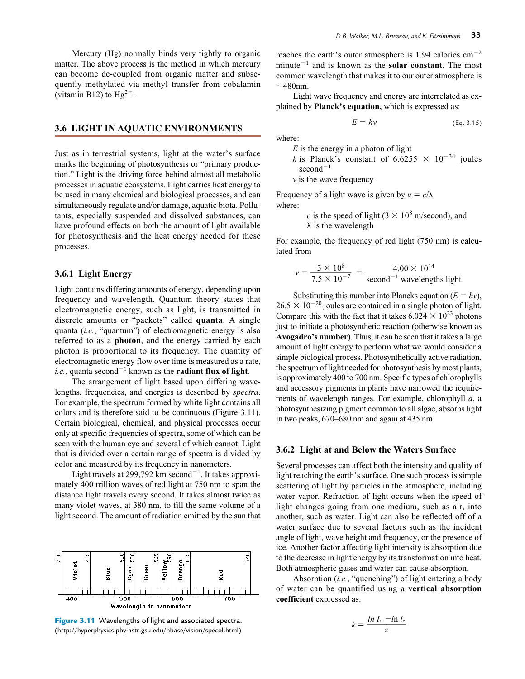Mercury (Hg) normally binds very tightly to organic matter. The above process is the method in which mercury can become de-coupled from organic matter and subsequently methylated via methyl transfer from cobalamin (vitamin B12) to  $Hg^{2+}$ .

#### **3.6 LIGHT IN AQUATIC ENVIRONMENTS**

Just as in terrestrial systems, light at the water's surface marks the beginning of photosynthesis or "primary production." Light is the driving force behind almost all metabolic processes in aquatic ecosystems. Light carries heat energy to be used in many chemical and biological processes, and can simultaneously regulate and/or damage, aquatic biota. Pollutants, especially suspended and dissolved substances, can have profound effects on both the amount of light available for photosynthesis and the heat energy needed for these processes.

#### **3.6.1 Light Energy**

Light contains differing amounts of energy, depending upon frequency and wavelength. Quantum theory states that electromagnetic energy, such as light, is transmitted in discrete amounts or "packets" called **quanta**. A single quanta (*i.e.*, "quantum") of electromagnetic energy is also referred to as a **photon**, and the energy carried by each photon is proportional to its frequency. The quantity of electromagnetic energy flow over time is measured as a rate, *i.e.*, quanta second-<sup>1</sup> known as the **radiant flux of light**.

The arrangement of light based upon differing wavelengths, frequencies, and energies is described by *spectra*. For example, the spectrum formed by white light contains all colors and is therefore said to be continuous (Figure 3.11). Certain biological, chemical, and physical processes occur only at specific frequencies of spectra, some of which can be seen with the human eye and several of which cannot. Light that is divided over a certain range of spectra is divided by color and measured by its frequency in nanometers.

Light travels at 299,792 km second $^{-1}$ . It takes approximately 400 trillion waves of red light at 750 nm to span the distance light travels every second. It takes almost twice as many violet waves, at 380 nm, to fill the same volume of a light second. The amount of radiation emitted by the sun that



**Figure 3.11** Wavelengths of light and associated spectra. (http://hyperphysics.phy-astr.gsu.edu/hbase/vision/specol.html)

reaches the earth's outer atmosphere is 1.94 calories  $cm^{-2}$ minute-<sup>1</sup> and is known as the **solar constant**. The most common wavelength that makes it to our outer atmosphere is  $~\sim$  480nm.

Light wave frequency and energy are interrelated as explained by **Planck's equation,** which is expressed as:

$$
E = hv
$$
 (Eq. 3.15)

where:

*E* is the energy in a photon of light *h* is Planck's constant of  $6.6255 \times 10^{-34}$  joules  $second^{-1}$ 

*v* is the wave frequency

Frequency of a light wave is given by  $v = c/\lambda$ where:

> *c* is the speed of light ( $3 \times 10^8$  m/second), and  $\lambda$  is the wavelength

For example, the frequency of red light (750 nm) is calculated from

from  

$$
v = \frac{3 \times 10^8}{7.5 \times 10^{-7}} = \frac{4.00 \times 10^{14}}{\text{second}^{-1} \text{ wavelengths light}}
$$

Substituting this number into Plancks equation  $(E = hv)$ ,  $26.5 \times 10^{-20}$  joules are contained in a single photon of light. Compare this with the fact that it takes  $6.024 \times 10^{23}$  photons just to initiate a photosynthetic reaction (otherwise known as **Avogadro's number**). Thus, it can be seen that it takes a large amount of light energy to perform what we would consider a simple biological process. Photosynthetically active radiation, the spectrum of light needed for photosynthesis by most plants, is approximately 400 to 700 nm. Specific types of chlorophylls and accessory pigments in plants have narrowed the requirements of wavelength ranges. For example, chlorophyll *a*, a photosynthesizing pigment common to all algae, absorbs light in two peaks, 670–680 nm and again at 435 nm.

#### **3.6.2 Light at and Below the Waters Surface**

Several processes can affect both the intensity and quality of light reaching the earth's surface. One such process is simple scattering of light by particles in the atmosphere, including water vapor. Refraction of light occurs when the speed of light changes going from one medium, such as air, into another, such as water. Light can also be reflected off of a water surface due to several factors such as the incident angle of light, wave height and frequency, or the presence of ice. Another factor affecting light intensity is absorption due to the decrease in light energy by its transformation into heat. Both atmospheric gases and water can cause absorption.

Absorption (*i.e.*, "quenching") of light entering a body of water can be quantified using a **vertical absorption coefficient** expressed as:

$$
k = \frac{\ln I_o - \ln l_z}{z}
$$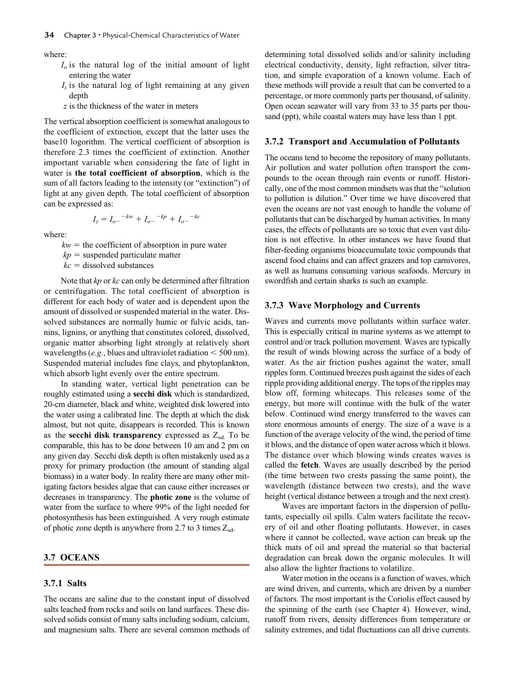where:

- $I<sub>o</sub>$  is the natural log of the initial amount of light entering the water
- $I_z$  is the natural log of light remaining at any given depth
- *z* is the thickness of the water in meters

The vertical absorption coefficient is somewhat analogous to the coefficient of extinction, except that the latter uses the base10 logorithm. The vertical coefficient of absorption is therefore 2.3 times the coefficient of extinction. Another important variable when considering the fate of light in water is **the total coefficient of absorption**, which is the sum of all factors leading to the intensity (or "extinction") of light at any given depth. The total coefficient of absorption can be expressed as:

$$
I_z = I_{o-}^{-kw} + I_{o-}^{-kp} + I_{o-}^{-kc}
$$

where:

 $kw =$  the coefficient of absorption in pure water  $kp =$  suspended particulate matter

 $kc =$  dissolved substances

Note that *kp* or *kc* can only be determined after filtration or centrifugation. The total coefficient of absorption is different for each body of water and is dependent upon the amount of dissolved or suspended material in the water. Dissolved substances are normally humic or fulvic acids, tannins, lignins, or anything that constitutes colored, dissolved, organic matter absorbing light strongly at relatively short wavelengths  $(e.g., blues and ultraviolet radiation < 500 nm)$ . Suspended material includes fine clays, and phytoplankton, which absorb light evenly over the entire spectrum.

In standing water, vertical light penetration can be roughly estimated using a **secchi disk** which is standardized, 20-cm diameter, black and white, weighted disk lowered into the water using a calibrated line. The depth at which the disk almost, but not quite, disappears is recorded. This is known as the **secchi disk transparency** expressed as  $Z_{sd}$ . To be comparable, this has to be done between 10 am and 2 pm on any given day. Secchi disk depth is often mistakenly used as a proxy for primary production (the amount of standing algal biomass) in a water body. In reality there are many other mitigating factors besides algae that can cause either increases or decreases in transparency. The **photic zone** is the volume of water from the surface to where 99% of the light needed for photosynthesis has been extinguished. A very rough estimate of photic zone depth is anywhere from 2.7 to 3 times  $Z_{sd}$ .

## **3.7 OCEANS**

#### **3.7.1 Salts**

The oceans are saline due to the constant input of dissolved salts leached from rocks and soils on land surfaces. These dissolved solids consist of many salts including sodium, calcium, and magnesium salts. There are several common methods of determining total dissolved solids and/or salinity including electrical conductivity, density, light refraction, silver titration, and simple evaporation of a known volume. Each of these methods will provide a result that can be converted to a percentage, or more commonly parts per thousand, of salinity. Open ocean seawater will vary from 33 to 35 parts per thousand (ppt), while coastal waters may have less than 1 ppt.

#### **3.7.2 Transport and Accumulation of Pollutants**

The oceans tend to become the repository of many pollutants. Air pollution and water pollution often transport the compounds to the ocean through rain events or runoff. Historically, one of the most common mindsets was that the "solution to pollution is dilution." Over time we have discovered that even the oceans are not vast enough to handle the volume of pollutants that can be discharged by human activities. In many cases, the effects of pollutants are so toxic that even vast dilution is not effective. In other instances we have found that filter-feeding organisms bioaccumulate toxic compounds that ascend food chains and can affect grazers and top carnivores, as well as humans consuming various seafoods. Mercury in swordfish and certain sharks is such an example.

#### **3.7.3 Wave Morphology and Currents**

Waves and currents move pollutants within surface water. This is especially critical in marine systems as we attempt to control and/or track pollution movement. Waves are typically the result of winds blowing across the surface of a body of water. As the air friction pushes against the water, small ripples form. Continued breezes push against the sides of each ripple providing additional energy. The tops of the ripples may blow off, forming whitecaps. This releases some of the energy, but more will continue with the bulk of the water below. Continued wind energy transferred to the waves can store enormous amounts of energy. The size of a wave is a function of the average velocity of the wind, the period of time it blows, and the distance of open water across which it blows. The distance over which blowing winds creates waves is called the **fetch**. Waves are usually described by the period (the time between two crests passing the same point), the wavelength (distance between two crests), and the wave height (vertical distance between a trough and the next crest).

Waves are important factors in the dispersion of pollutants, especially oil spills. Calm waters facilitate the recovery of oil and other floating pollutants. However, in cases where it cannot be collected, wave action can break up the thick mats of oil and spread the material so that bacterial degradation can break down the organic molecules. It will also allow the lighter fractions to volatilize.

Water motion in the oceans is a function of waves, which are wind driven, and currents, which are driven by a number of factors. The most important is the Coriolis effect caused by the spinning of the earth (see Chapter 4). However, wind, runoff from rivers, density differences from temperature or salinity extremes, and tidal fluctuations can all drive currents.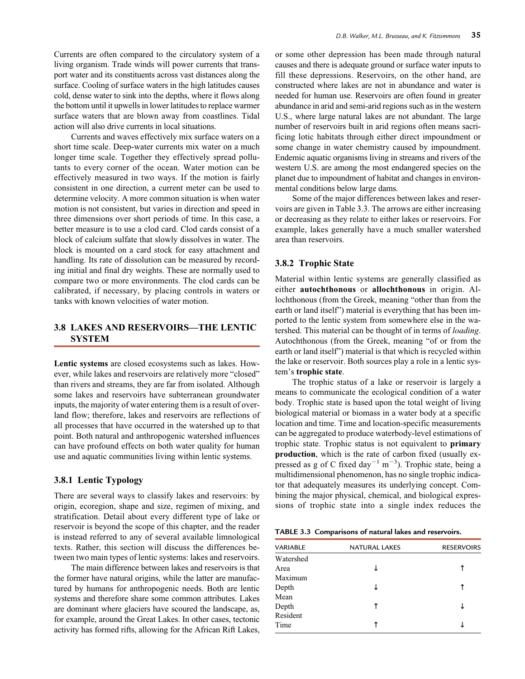Currents are often compared to the circulatory system of a living organism. Trade winds will power currents that transport water and its constituents across vast distances along the surface. Cooling of surface waters in the high latitudes causes cold, dense water to sink into the depths, where it flows along the bottom until it upwells in lower latitudes to replace warmer surface waters that are blown away from coastlines. Tidal action will also drive currents in local situations.

Currents and waves effectively mix surface waters on a short time scale. Deep-water currents mix water on a much longer time scale. Together they effectively spread pollutants to every corner of the ocean. Water motion can be effectively measured in two ways. If the motion is fairly consistent in one direction, a current meter can be used to determine velocity. A more common situation is when water motion is not consistent, but varies in direction and speed in three dimensions over short periods of time. In this case, a better measure is to use a clod card. Clod cards consist of a block of calcium sulfate that slowly dissolves in water. The block is mounted on a card stock for easy attachment and handling. Its rate of dissolution can be measured by recording initial and final dry weights. These are normally used to compare two or more environments. The clod cards can be calibrated, if necessary, by placing controls in waters or tanks with known velocities of water motion.

## **3.8 LAKES AND RESERVOIRS—THE LENTIC SYSTEM**

**Lentic systems** are closed ecosystems such as lakes. However, while lakes and reservoirs are relatively more "closed" than rivers and streams, they are far from isolated. Although some lakes and reservoirs have subterranean groundwater inputs, the majority of water entering them is a result of overland flow; therefore, lakes and reservoirs are reflections of all processes that have occurred in the watershed up to that point. Both natural and anthropogenic watershed influences can have profound effects on both water quality for human use and aquatic communities living within lentic systems.

#### **3.8.1 Lentic Typology**

There are several ways to classify lakes and reservoirs: by origin, ecoregion, shape and size, regimen of mixing, and stratification. Detail about every different type of lake or reservoir is beyond the scope of this chapter, and the reader is instead referred to any of several available limnological texts. Rather, this section will discuss the differences between two main types of lentic systems: lakes and reservoirs.

The main difference between lakes and reservoirs is that the former have natural origins, while the latter are manufactured by humans for anthropogenic needs. Both are lentic systems and therefore share some common attributes. Lakes are dominant where glaciers have scoured the landscape, as, for example, around the Great Lakes. In other cases, tectonic activity has formed rifts, allowing for the African Rift Lakes, or some other depression has been made through natural causes and there is adequate ground or surface water inputs to fill these depressions. Reservoirs, on the other hand, are constructed where lakes are not in abundance and water is needed for human use. Reservoirs are often found in greater abundance in arid and semi-arid regions such as in the western U.S., where large natural lakes are not abundant. The large number of reservoirs built in arid regions often means sacrificing lotic habitats through either direct impoundment or some change in water chemistry caused by impoundment. Endemic aquatic organisms living in streams and rivers of the western U.S. are among the most endangered species on the planet due to impoundment of habitat and changes in environmental conditions below large dams.

Some of the major differences between lakes and reservoirs are given in Table 3.3. The arrows are either increasing or decreasing as they relate to either lakes or reservoirs. For example, lakes generally have a much smaller watershed area than reservoirs.

#### **3.8.2 Trophic State**

Material within lentic systems are generally classified as either **autochthonous** or **allochthonous** in origin. Allochthonous (from the Greek, meaning "other than from the earth or land itself") material is everything that has been imported to the lentic system from somewhere else in the watershed. This material can be thought of in terms of *loading*. Autochthonous (from the Greek, meaning "of or from the earth or land itself") material is that which is recycled within the lake or reservoir. Both sources play a role in a lentic system's **trophic state**.

The trophic status of a lake or reservoir is largely a means to communicate the ecological condition of a water body. Trophic state is based upon the total weight of living biological material or biomass in a water body at a specific location and time. Time and location-specific measurements can be aggregated to produce waterbody-level estimations of trophic state. Trophic status is not equivalent to **primary production**, which is the rate of carbon fixed (usually expressed as g of C fixed  $day^{-1}$  m<sup>-3</sup>). Trophic state, being a multidimensional phenomenon, has no single trophic indicator that adequately measures its underlying concept. Combining the major physical, chemical, and biological expressions of trophic state into a single index reduces the

| TABLE 3.3 Comparisons of natural lakes and reservoirs. |  |  |
|--------------------------------------------------------|--|--|
|                                                        |  |  |

| <b>VARIABLE</b> | <b>NATURAL LAKES</b> | <b>RESERVOIRS</b> |
|-----------------|----------------------|-------------------|
| Watershed       |                      |                   |
| Area            |                      |                   |
| Maximum         |                      |                   |
| Depth           |                      |                   |
| Mean            |                      |                   |
| Depth           | ↑                    |                   |
| Resident        |                      |                   |
| Time            |                      |                   |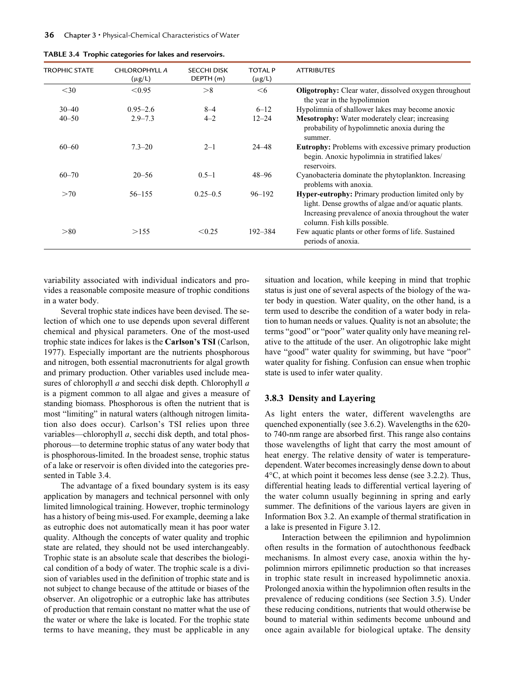| <b>TROPHIC STATE</b> | <b>CHLOROPHYLL A</b><br>$(\mu g/L)$ | SECCHI DISK<br>DEPTH (m) | <b>TOTAL P</b><br>$(\mu g/L)$ | <b>ATTRIBUTES</b>                                                                                                                                                                                         |
|----------------------|-------------------------------------|--------------------------|-------------------------------|-----------------------------------------------------------------------------------------------------------------------------------------------------------------------------------------------------------|
| $<$ 30               | < 0.95                              | >8                       | $<$ 6                         | <b>Oligotrophy:</b> Clear water, dissolved oxygen throughout<br>the year in the hypolimnion                                                                                                               |
| $30 - 40$            | $0.95 - 2.6$                        | $8 - 4$                  | $6 - 12$                      | Hypolimnia of shallower lakes may become anoxic                                                                                                                                                           |
| $40 - 50$            | $2.9 - 7.3$                         | $4 - 2$                  | $12 - 24$                     | <b>Mesotrophy:</b> Water moderately clear; increasing<br>probability of hypolimetic anoxia during the<br>summer.                                                                                          |
| $60 - 60$            | $7.3 - 20$                          | $2 - 1$                  | $24 - 48$                     | <b>Eutrophy:</b> Problems with excessive primary production<br>begin. Anoxic hypolimnia in stratified lakes/<br>reservoirs.                                                                               |
| $60 - 70$            | $20 - 56$                           | $0.5 - 1$                | $48 - 96$                     | Cyanobacteria dominate the phytoplankton. Increasing<br>problems with anoxia.                                                                                                                             |
| >70                  | $56 - 155$                          | $0.25 - 0.5$             | $96 - 192$                    | <b>Hyper-eutrophy:</b> Primary production limited only by<br>light. Dense growths of algae and/or aquatic plants.<br>Increasing prevalence of anoxia throughout the water<br>column. Fish kills possible. |
| > 80                 | >155                                | < 0.25                   | $192 - 384$                   | Few aquatic plants or other forms of life. Sustained<br>periods of anoxia.                                                                                                                                |

| TABLE 3.4 Trophic categories for lakes and reservoirs. |  |  |  |
|--------------------------------------------------------|--|--|--|
|                                                        |  |  |  |

variability associated with individual indicators and provides a reasonable composite measure of trophic conditions in a water body.

Several trophic state indices have been devised. The selection of which one to use depends upon several different chemical and physical parameters. One of the most-used trophic state indices for lakes is the **Carlson's TSI** (Carlson, 1977). Especially important are the nutrients phosphorous and nitrogen, both essential macronutrients for algal growth and primary production. Other variables used include measures of chlorophyll *a* and secchi disk depth. Chlorophyll *a* is a pigment common to all algae and gives a measure of standing biomass. Phosphorous is often the nutrient that is most "limiting" in natural waters (although nitrogen limitation also does occur). Carlson's TSI relies upon three variables—chlorophyll *a*, secchi disk depth, and total phosphorous—to determine trophic status of any water body that is phosphorous-limited. In the broadest sense, trophic status of a lake or reservoir is often divided into the categories presented in Table 3.4.

The advantage of a fixed boundary system is its easy application by managers and technical personnel with only limited limnological training. However, trophic terminology has a history of being mis-used. For example, deeming a lake as eutrophic does not automatically mean it has poor water quality. Although the concepts of water quality and trophic state are related, they should not be used interchangeably. Trophic state is an absolute scale that describes the biological condition of a body of water. The trophic scale is a division of variables used in the definition of trophic state and is not subject to change because of the attitude or biases of the observer. An oligotrophic or a eutrophic lake has attributes of production that remain constant no matter what the use of the water or where the lake is located. For the trophic state terms to have meaning, they must be applicable in any situation and location, while keeping in mind that trophic status is just one of several aspects of the biology of the water body in question. Water quality, on the other hand, is a term used to describe the condition of a water body in relation to human needs or values. Quality is not an absolute; the terms "good" or "poor" water quality only have meaning relative to the attitude of the user. An oligotrophic lake might have "good" water quality for swimming, but have "poor" water quality for fishing. Confusion can ensue when trophic state is used to infer water quality.

#### **3.8.3 Density and Layering**

As light enters the water, different wavelengths are quenched exponentially (see 3.6.2). Wavelengths in the 620 to 740-nm range are absorbed first. This range also contains those wavelengths of light that carry the most amount of heat energy. The relative density of water is temperaturedependent. Water becomes increasingly dense down to about 4°C, at which point it becomes less dense (see 3.2.2). Thus, differential heating leads to differential vertical layering of the water column usually beginning in spring and early summer. The definitions of the various layers are given in Information Box 3.2. An example of thermal stratification in a lake is presented in Figure 3.12.

Interaction between the epilimnion and hypolimnion often results in the formation of autochthonous feedback mechanisms. In almost every case, anoxia within the hypolimnion mirrors epilimnetic production so that increases in trophic state result in increased hypolimnetic anoxia. Prolonged anoxia within the hypolimnion often results in the prevalence of reducing conditions (see Section 3.5). Under these reducing conditions, nutrients that would otherwise be bound to material within sediments become unbound and once again available for biological uptake. The density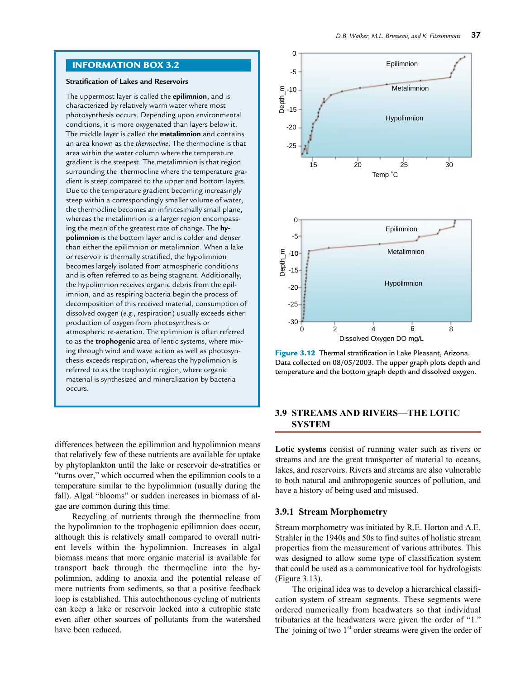## **INFORMATION BOX 3.2**

#### **Stratification of Lakes and Reservoirs**

The uppermost layer is called the **epilimnion**, and is characterized by relatively warm water where most photosynthesis occurs. Depending upon environmental conditions, it is more oxygenated than layers below it. The middle layer is called the **metalimnion** and contains an area known as the *thermocline*. The thermocline is that area within the water column where the temperature gradient is the steepest. The metalimnion is that region surrounding the thermocline where the temperature gradient is steep compared to the upper and bottom layers. Due to the temperature gradient becoming increasingly steep within a correspondingly smaller volume of water, the thermocline becomes an infinitesimally small plane, whereas the metalimnion is a larger region encompassing the mean of the greatest rate of change. The **hypolimnion** is the bottom layer and is colder and denser than either the epilimnion or metalimnion. When a lake or reservoir is thermally stratified, the hypolimnion becomes largely isolated from atmospheric conditions and is often referred to as being stagnant. Additionally, the hypolimnion receives organic debris from the epilimnion, and as respiring bacteria begin the process of decomposition of this received material, consumption of dissolved oxygen (*e.g.*, respiration) usually exceeds either production of oxygen from photosynthesis or atmospheric re-aeration. The eplimnion is often referred to as the **trophogenic** area of lentic systems, where mixing through wind and wave action as well as photosynthesis exceeds respiration, whereas the hypolimnion is referred to as the tropholytic region, where organic material is synthesized and mineralization by bacteria occurs.

differences between the epilimnion and hypolimnion means that relatively few of these nutrients are available for uptake by phytoplankton until the lake or reservoir de-stratifies or "turns over," which occurred when the epilimnion cools to a temperature similar to the hypolimnion (usually during the fall). Algal "blooms" or sudden increases in biomass of algae are common during this time.

Recycling of nutrients through the thermocline from the hypolimnion to the trophogenic epilimnion does occur, although this is relatively small compared to overall nutrient levels within the hypolimnion. Increases in algal biomass means that more organic material is available for transport back through the thermocline into the hypolimnion, adding to anoxia and the potential release of more nutrients from sediments, so that a positive feedback loop is established. This autochthonous cycling of nutrients can keep a lake or reservoir locked into a eutrophic state even after other sources of pollutants from the watershed have been reduced.



**Figure 3.12** Thermal stratification in Lake Pleasant, Arizona. Data collected on 08/05/2003. The upper graph plots depth and temperature and the bottom graph depth and dissolved oxygen.

## **3.9 STREAMS AND RIVERS—THE LOTIC SYSTEM**

**Lotic systems** consist of running water such as rivers or streams and are the great transporter of material to oceans, lakes, and reservoirs. Rivers and streams are also vulnerable to both natural and anthropogenic sources of pollution, and have a history of being used and misused.

#### **3.9.1 Stream Morphometry**

Stream morphometry was initiated by R.E. Horton and A.E. Strahler in the 1940s and 50s to find suites of holistic stream properties from the measurement of various attributes. This was designed to allow some type of classification system that could be used as a communicative tool for hydrologists (Figure 3.13).

The original idea was to develop a hierarchical classification system of stream segments. These segments were ordered numerically from headwaters so that individual tributaries at the headwaters were given the order of "1." The joining of two  $1<sup>st</sup>$  order streams were given the order of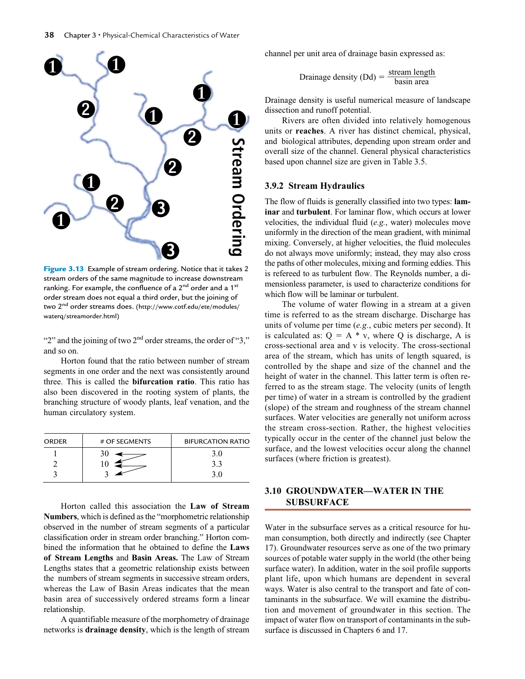

**Figure 3.13** Example of stream ordering. Notice that it takes 2 stream orders of the same magnitude to increase downstream ranking. For example, the confluence of a  $2<sup>nd</sup>$  order and a  $1<sup>st</sup>$ order stream does not equal a third order, but the joining of two 2<sup>nd</sup> order streams does. (http://www.cotf.edu/ete/modules/ waterq/streamorder.html)

"2" and the joining of two  $2<sup>nd</sup>$  order streams, the order of "3," and so on.

Horton found that the ratio between number of stream segments in one order and the next was consistently around three. This is called the **bifurcation ratio**. This ratio has also been discovered in the rooting system of plants, the branching structure of woody plants, leaf venation, and the human circulatory system.

| <b>ORDER</b> | # OF SEGMENTS | <b>BIFURCATION RATIO</b> |
|--------------|---------------|--------------------------|
|              |               |                          |
|              |               |                          |
|              |               |                          |

Horton called this association the **Law of Stream Numbers**, which is defined as the "morphometric relationship observed in the number of stream segments of a particular classification order in stream order branching." Horton combined the information that he obtained to define the **Laws of Stream Lengths** and **Basin Areas.** The Law of Stream Lengths states that a geometric relationship exists between the numbers of stream segments in successive stream orders, whereas the Law of Basin Areas indicates that the mean basin area of successively ordered streams form a linear relationship.

A quantifiable measure of the morphometry of drainage networks is **drainage density**, which is the length of stream channel per unit area of drainage basin expressed as:

Drainage density (Dd) =  $\frac{\text{stream}}{\text{basin}}$ str b e a a s m in l a e r n e g  $\frac{\text{length}}{\text{area}}$ 

Drainage density is useful numerical measure of landscape dissection and runoff potential.

Rivers are often divided into relatively homogenous units or **reaches**. A river has distinct chemical, physical, and biological attributes, depending upon stream order and overall size of the channel. General physical characteristics based upon channel size are given in Table 3.5.

#### **3.9.2 Stream Hydraulics**

The flow of fluids is generally classified into two types: **laminar** and **turbulent**. For laminar flow, which occurs at lower velocities, the individual fluid (*e.g.*, water) molecules move uniformly in the direction of the mean gradient, with minimal mixing. Conversely, at higher velocities, the fluid molecules do not always move uniformly; instead, they may also cross the paths of other molecules, mixing and forming eddies. This is refereed to as turbulent flow. The Reynolds number, a dimensionless parameter, is used to characterize conditions for which flow will be laminar or turbulent.

The volume of water flowing in a stream at a given time is referred to as the stream discharge. Discharge has units of volume per time (*e.g.*, cubic meters per second). It is calculated as:  $Q = A * v$ , where Q is discharge, A is cross-sectional area and v is velocity. The cross-sectional area of the stream, which has units of length squared, is controlled by the shape and size of the channel and the height of water in the channel. This latter term is often referred to as the stream stage. The velocity (units of length per time) of water in a stream is controlled by the gradient (slope) of the stream and roughness of the stream channel surfaces. Water velocities are generally not uniform across the stream cross-section. Rather, the highest velocities typically occur in the center of the channel just below the surface, and the lowest velocities occur along the channel surfaces (where friction is greatest).

## **3.10 GROUNDWATER—WATER IN THE SUBSURFACE**

Water in the subsurface serves as a critical resource for human consumption, both directly and indirectly (see Chapter 17). Groundwater resources serve as one of the two primary sources of potable water supply in the world (the other being surface water). In addition, water in the soil profile supports plant life, upon which humans are dependent in several ways. Water is also central to the transport and fate of contaminants in the subsurface. We will examine the distribution and movement of groundwater in this section. The impact of water flow on transport of contaminants in the subsurface is discussed in Chapters 6 and 17.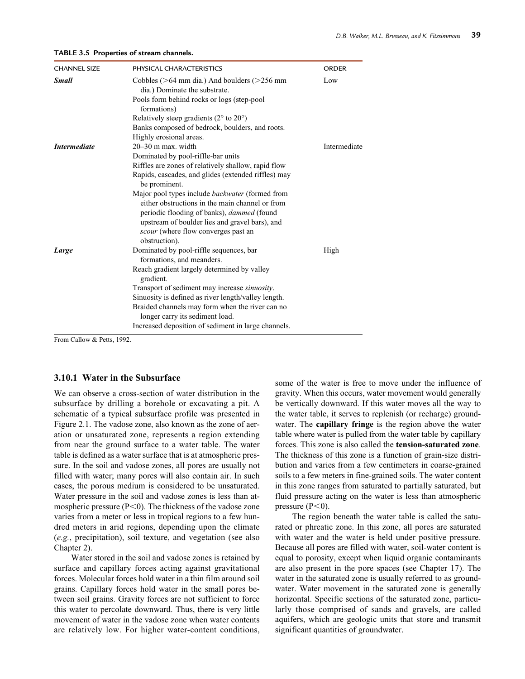| <b>CHANNEL SIZE</b>               | PHYSICAL CHARACTERISTICS                                                                                                                                                                                                                                                 | <b>ORDER</b> |
|-----------------------------------|--------------------------------------------------------------------------------------------------------------------------------------------------------------------------------------------------------------------------------------------------------------------------|--------------|
| <b>Small</b>                      | Cobbles ( $>64$ mm dia.) And boulders ( $>256$ mm<br>dia.) Dominate the substrate.                                                                                                                                                                                       | Low          |
|                                   | Pools form behind rocks or logs (step-pool<br>formations)                                                                                                                                                                                                                |              |
|                                   | Relatively steep gradients ( $2^{\circ}$ to $20^{\circ}$ )                                                                                                                                                                                                               |              |
|                                   | Banks composed of bedrock, boulders, and roots.                                                                                                                                                                                                                          |              |
|                                   | Highly erosional areas.                                                                                                                                                                                                                                                  |              |
| <i><u><b>Intermediate</b></u></i> | $20-30$ m max, width                                                                                                                                                                                                                                                     | Intermediate |
|                                   | Dominated by pool-riffle-bar units                                                                                                                                                                                                                                       |              |
|                                   | Riffles are zones of relatively shallow, rapid flow                                                                                                                                                                                                                      |              |
|                                   | Rapids, cascades, and glides (extended riffles) may<br>be prominent.                                                                                                                                                                                                     |              |
|                                   | Major pool types include <i>backwater</i> (formed from<br>either obstructions in the main channel or from<br>periodic flooding of banks), <i>dammed</i> (found<br>upstream of boulder lies and gravel bars), and<br>scour (where flow converges past an<br>obstruction). |              |
| Large                             | Dominated by pool-riffle sequences, bar<br>formations, and meanders.                                                                                                                                                                                                     | High         |
|                                   | Reach gradient largely determined by valley<br>gradient.                                                                                                                                                                                                                 |              |
|                                   | Transport of sediment may increase sinuosity.                                                                                                                                                                                                                            |              |
|                                   | Sinuosity is defined as river length/valley length.                                                                                                                                                                                                                      |              |
|                                   | Braided channels may form when the river can no<br>longer carry its sediment load.                                                                                                                                                                                       |              |
|                                   | Increased deposition of sediment in large channels.                                                                                                                                                                                                                      |              |

#### **TABLE 3.5 Properties of stream channels.**

From Callow & Petts, 1992.

#### **3.10.1 Water in the Subsurface**

We can observe a cross-section of water distribution in the subsurface by drilling a borehole or excavating a pit. A schematic of a typical subsurface profile was presented in Figure 2.1. The vadose zone, also known as the zone of aeration or unsaturated zone, represents a region extending from near the ground surface to a water table. The water table is defined as a water surface that is at atmospheric pressure. In the soil and vadose zones, all pores are usually not filled with water; many pores will also contain air. In such cases, the porous medium is considered to be unsaturated. Water pressure in the soil and vadose zones is less than atmospheric pressure ( $P<0$ ). The thickness of the vadose zone varies from a meter or less in tropical regions to a few hundred meters in arid regions, depending upon the climate (*e.g.*, precipitation), soil texture, and vegetation (see also Chapter 2).

Water stored in the soil and vadose zones is retained by surface and capillary forces acting against gravitational forces. Molecular forces hold water in a thin film around soil grains. Capillary forces hold water in the small pores between soil grains. Gravity forces are not sufficient to force this water to percolate downward. Thus, there is very little movement of water in the vadose zone when water contents are relatively low. For higher water-content conditions, some of the water is free to move under the influence of gravity. When this occurs, water movement would generally be vertically downward. If this water moves all the way to the water table, it serves to replenish (or recharge) groundwater. The **capillary fringe** is the region above the water table where water is pulled from the water table by capillary forces. This zone is also called the **tension-saturated zone**. The thickness of this zone is a function of grain-size distribution and varies from a few centimeters in coarse-grained soils to a few meters in fine-grained soils. The water content in this zone ranges from saturated to partially saturated, but fluid pressure acting on the water is less than atmospheric pressure  $(P<0)$ .

The region beneath the water table is called the saturated or phreatic zone. In this zone, all pores are saturated with water and the water is held under positive pressure. Because all pores are filled with water, soil-water content is equal to porosity, except when liquid organic contaminants are also present in the pore spaces (see Chapter 17). The water in the saturated zone is usually referred to as groundwater. Water movement in the saturated zone is generally horizontal. Specific sections of the saturated zone, particularly those comprised of sands and gravels, are called aquifers, which are geologic units that store and transmit significant quantities of groundwater.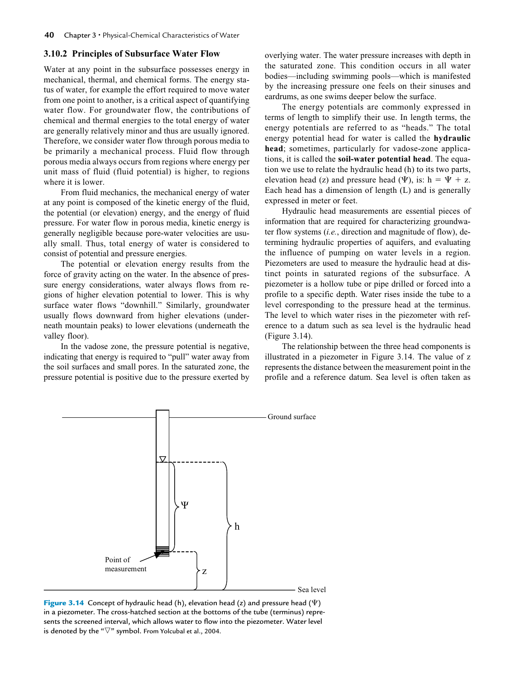#### **3.10.2 Principles of Subsurface Water Flow**

Water at any point in the subsurface possesses energy in mechanical, thermal, and chemical forms. The energy status of water, for example the effort required to move water from one point to another, is a critical aspect of quantifying water flow. For groundwater flow, the contributions of chemical and thermal energies to the total energy of water are generally relatively minor and thus are usually ignored. Therefore, we consider water flow through porous media to be primarily a mechanical process. Fluid flow through porous media always occurs from regions where energy per unit mass of fluid (fluid potential) is higher, to regions where it is lower.

From fluid mechanics, the mechanical energy of water at any point is composed of the kinetic energy of the fluid, the potential (or elevation) energy, and the energy of fluid pressure. For water flow in porous media, kinetic energy is generally negligible because pore-water velocities are usually small. Thus, total energy of water is considered to consist of potential and pressure energies.

The potential or elevation energy results from the force of gravity acting on the water. In the absence of pressure energy considerations, water always flows from regions of higher elevation potential to lower. This is why surface water flows "downhill." Similarly, groundwater usually flows downward from higher elevations (underneath mountain peaks) to lower elevations (underneath the valley floor).

In the vadose zone, the pressure potential is negative, indicating that energy is required to "pull" water away from the soil surfaces and small pores. In the saturated zone, the pressure potential is positive due to the pressure exerted by overlying water. The water pressure increases with depth in the saturated zone. This condition occurs in all water bodies—including swimming pools—which is manifested by the increasing pressure one feels on their sinuses and eardrums, as one swims deeper below the surface.

The energy potentials are commonly expressed in terms of length to simplify their use. In length terms, the energy potentials are referred to as "heads." The total energy potential head for water is called the **hydraulic head**; sometimes, particularly for vadose-zone applications, it is called the **soil-water potential head**. The equation we use to relate the hydraulic head (h) to its two parts, elevation head (z) and pressure head ( $\Psi$ ), is: h =  $\Psi$  + z. Each head has a dimension of length (L) and is generally expressed in meter or feet.

Hydraulic head measurements are essential pieces of information that are required for characterizing groundwater flow systems (*i.e.*, direction and magnitude of flow), determining hydraulic properties of aquifers, and evaluating the influence of pumping on water levels in a region. Piezometers are used to measure the hydraulic head at distinct points in saturated regions of the subsurface. A piezometer is a hollow tube or pipe drilled or forced into a profile to a specific depth. Water rises inside the tube to a level corresponding to the pressure head at the terminus. The level to which water rises in the piezometer with reference to a datum such as sea level is the hydraulic head (Figure 3.14).

The relationship between the three head components is illustrated in a piezometer in Figure 3.14. The value of z represents the distance between the measurement point in the profile and a reference datum. Sea level is often taken as



Figure 3.14 Concept of hydraulic head (h), elevation head (z) and pressure head  $(\Psi)$ in a piezometer. The cross-hatched section at the bottoms of the tube (terminus) represents the screened interval, which allows water to flow into the piezometer. Water level is denoted by the " $\nabla$ " symbol. From Yolcubal et al., 2004.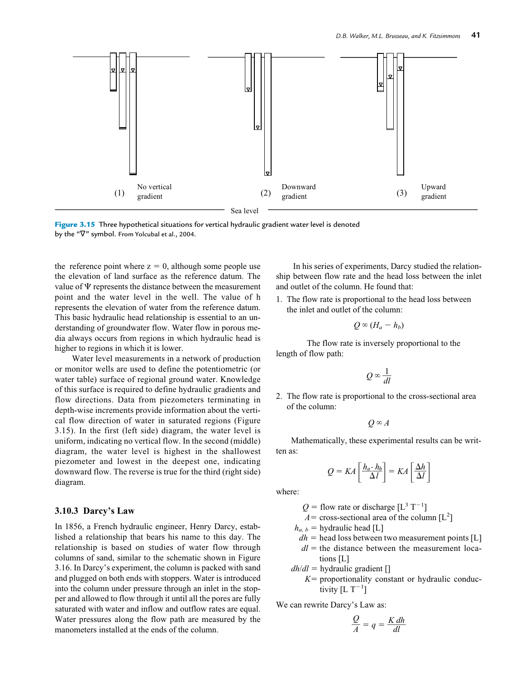

**Figure 3.15** Three hypothetical situations for vertical hydraulic gradient water level is denoted by the "∇" symbol. From Yolcubal et al., 2004.

the reference point where  $z = 0$ , although some people use the elevation of land surface as the reference datum. The value of  $\Psi$  represents the distance between the measurement point and the water level in the well. The value of h represents the elevation of water from the reference datum. This basic hydraulic head relationship is essential to an understanding of groundwater flow. Water flow in porous media always occurs from regions in which hydraulic head is higher to regions in which it is lower.

Water level measurements in a network of production or monitor wells are used to define the potentiometric (or water table) surface of regional ground water. Knowledge of this surface is required to define hydraulic gradients and flow directions. Data from piezometers terminating in depth-wise increments provide information about the vertical flow direction of water in saturated regions (Figure 3.15). In the first (left side) diagram, the water level is uniform, indicating no vertical flow. In the second (middle) diagram, the water level is highest in the shallowest piezometer and lowest in the deepest one, indicating downward flow. The reverse is true for the third (right side) diagram.

#### **3.10.3 Darcy's Law**

In 1856, a French hydraulic engineer, Henry Darcy, established a relationship that bears his name to this day. The relationship is based on studies of water flow through columns of sand, similar to the schematic shown in Figure 3.16. In Darcy's experiment, the column is packed with sand and plugged on both ends with stoppers. Water is introduced into the column under pressure through an inlet in the stopper and allowed to flow through it until all the pores are fully saturated with water and inflow and outflow rates are equal. Water pressures along the flow path are measured by the manometers installed at the ends of the column.

In his series of experiments, Darcy studied the relationship between flow rate and the head loss between the inlet and outlet of the column. He found that:

1. The flow rate is proportional to the head loss between the inlet and outlet of the column:

$$
Q \otimes (H_a - h_b)
$$

The flow rate is inversely proportional to the length of flow path:

$$
Q \propto \frac{1}{dl}
$$

2. The flow rate is proportional to the cross-sectional area of the column:

$$
Q \otimes A
$$

Mathematically, these experimental results can be written as:

$$
Q = KA\left[\frac{h_a \cdot h_b}{\Delta l}\right] = KA\left[\frac{\Delta h}{\Delta l}\right]
$$

where:

$$
Q =
$$
 flow rate or discharge [L<sup>3</sup> T<sup>-1</sup>]

 $A$  = cross-sectional area of the column  $[L^2]$ 

- $h_{a, b}$  = hydraulic head [L]
- $dh =$  head loss between two measurement points [L]
- $dl$  = the distance between the measurement locations [L]
- $dh/dl$  = hydraulic gradient  $\Box$ 
	- $K =$  proportionality constant or hydraulic conductivity  $[L T^{-1}]$

We can rewrite Darcy's Law as:

$$
\frac{Q}{A} = q = \frac{K \, dh}{dl}
$$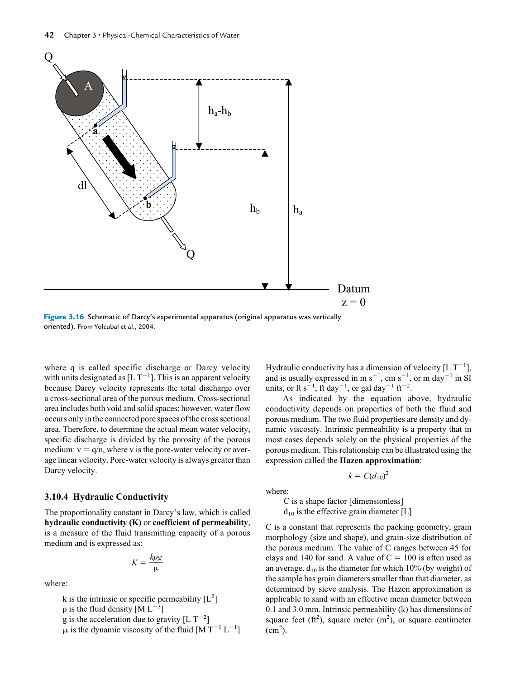

**Figure 3.16** Schematic of Darcy's experimental apparatus (original apparatus was vertically oriented). From Yolcubal et al., 2004.

where q is called specific discharge or Darcy velocity with units designated as  $[L T^{-1}]$ . This is an apparent velocity because Darcy velocity represents the total discharge over a cross-sectional area of the porous medium. Cross-sectional area includes both void and solid spaces; however, water flow occurs only in the connected pore spaces of the cross sectional area. Therefore, to determine the actual mean water velocity, specific discharge is divided by the porosity of the porous medium:  $v = q/n$ , where v is the pore-water velocity or average linear velocity. Pore-water velocity is always greater than Darcy velocity.

#### **3.10.4 Hydraulic Conductivity**

The proportionality constant in Darcy's law, which is called **hydraulic conductivity (K)** or **coefficient of permeability**, is a measure of the fluid transmitting capacity of a porous medium and is expressed as:

$$
K = \frac{k\rho g}{\mu}
$$

where:

k is the intrinsic or specific permeability  $[L^2]$  $\rho$  is the fluid density  $[M L^{-3}]$ g is the acceleration due to gravity  $[L T^{-2}]$  $\mu$  is the dynamic viscosity of the fluid [M T<sup>-1</sup> L<sup>-1</sup>] Hydraulic conductivity has a dimension of velocity  $[L T^{-1}]$ , and is usually expressed in m  $s^{-1}$ , cm  $s^{-1}$ , or m day<sup>-1</sup> in SI units, or ft  $s^{-1}$ , ft day<sup>-1</sup>, or gal day<sup>-1</sup> ft<sup>-2</sup>.

As indicated by the equation above, hydraulic conductivity depends on properties of both the fluid and porous medium. The two fluid properties are density and dynamic viscosity. Intrinsic permeability is a property that in most cases depends solely on the physical properties of the porous medium. This relationship can be illustrated using the expression called the **Hazen approximation**:

$$
k = C(d_{10})^2
$$

where:

C is a shape factor [dimensionless]  $d_{10}$  is the effective grain diameter [L]

C is a constant that represents the packing geometry, grain morphology (size and shape), and grain-size distribution of the porous medium. The value of C ranges between 45 for clays and 140 for sand. A value of  $C = 100$  is often used as an average.  $d_{10}$  is the diameter for which 10% (by weight) of the sample has grain diameters smaller than that diameter, as determined by sieve analysis. The Hazen approximation is applicable to sand with an effective mean diameter between 0.1 and 3.0 mm. Intrinsic permeability (k) has dimensions of square feet (ft<sup>2</sup>), square meter (m<sup>2</sup>), or square centimeter  $(cm<sup>2</sup>).$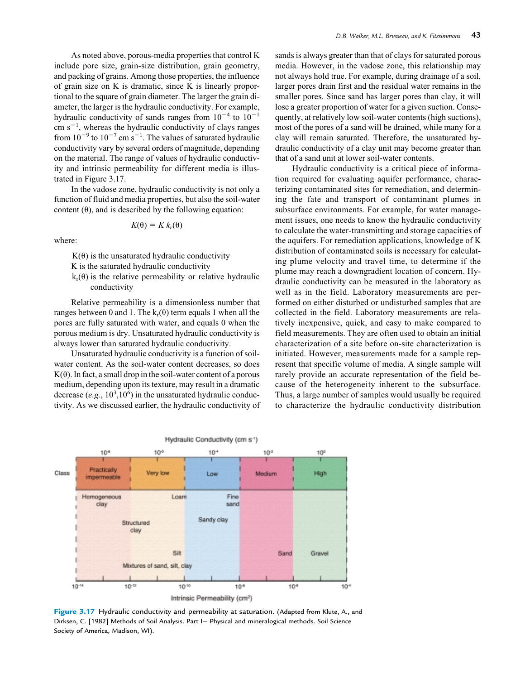As noted above, porous-media properties that control K include pore size, grain-size distribution, grain geometry, and packing of grains. Among those properties, the influence of grain size on K is dramatic, since K is linearly proportional to the square of grain diameter. The larger the grain diameter, the larger is the hydraulic conductivity. For example, hydraulic conductivity of sands ranges from  $10^{-4}$  to  $10^{-1}$  $\text{cm s}^{-1}$ , whereas the hydraulic conductivity of clays ranges from  $10^{-9}$  to  $10^{-7}$  cm s<sup>-1</sup>. The values of saturated hydraulic conductivity vary by several orders of magnitude, depending on the material. The range of values of hydraulic conductivity and intrinsic permeability for different media is illustrated in Figure 3.17.

In the vadose zone, hydraulic conductivity is not only a function of fluid and media properties, but also the soil-water content  $(\theta)$ , and is described by the following equation:

$$
K(\theta)=K k_r(\theta)
$$

where:

 $K(\theta)$  is the unsaturated hydraulic conductivity

K is the saturated hydraulic conductivity

 $k_r(\theta)$  is the relative permeability or relative hydraulic conductivity

Relative permeability is a dimensionless number that ranges between 0 and 1. The  $k_r(\theta)$  term equals 1 when all the pores are fully saturated with water, and equals 0 when the porous medium is dry. Unsaturated hydraulic conductivity is always lower than saturated hydraulic conductivity.

Unsaturated hydraulic conductivity is a function of soilwater content. As the soil-water content decreases, so does  $K(\theta)$ . In fact, a small drop in the soil-water content of a porous medium, depending upon its texture, may result in a dramatic decrease  $(e.g., 10^3, 10^6)$  in the unsaturated hydraulic conductivity. As we discussed earlier, the hydraulic conductivity of sands is always greater than that of clays for saturated porous media. However, in the vadose zone, this relationship may not always hold true. For example, during drainage of a soil, larger pores drain first and the residual water remains in the smaller pores. Since sand has larger pores than clay, it will lose a greater proportion of water for a given suction. Consequently, at relatively low soil-water contents (high suctions), most of the pores of a sand will be drained, while many for a clay will remain saturated. Therefore, the unsaturated hydraulic conductivity of a clay unit may become greater than that of a sand unit at lower soil-water contents.

Hydraulic conductivity is a critical piece of information required for evaluating aquifer performance, characterizing contaminated sites for remediation, and determining the fate and transport of contaminant plumes in subsurface environments. For example, for water management issues, one needs to know the hydraulic conductivity to calculate the water-transmitting and storage capacities of the aquifers. For remediation applications, knowledge of K distribution of contaminated soils is necessary for calculating plume velocity and travel time, to determine if the plume may reach a downgradient location of concern. Hydraulic conductivity can be measured in the laboratory as well as in the field. Laboratory measurements are performed on either disturbed or undisturbed samples that are collected in the field. Laboratory measurements are relatively inexpensive, quick, and easy to make compared to field measurements. They are often used to obtain an initial characterization of a site before on-site characterization is initiated. However, measurements made for a sample represent that specific volume of media. A single sample will rarely provide an accurate representation of the field because of the heterogeneity inherent to the subsurface. Thus, a large number of samples would usually be required to characterize the hydraulic conductivity distribution



**Figure 3.17** Hydraulic conductivity and permeability at saturation. (Adapted from Klute, A., and Dirksen, C. [1982] Methods of Soil Analysis. Part I— Physical and mineralogical methods. Soil Science Society of America, Madison, WI).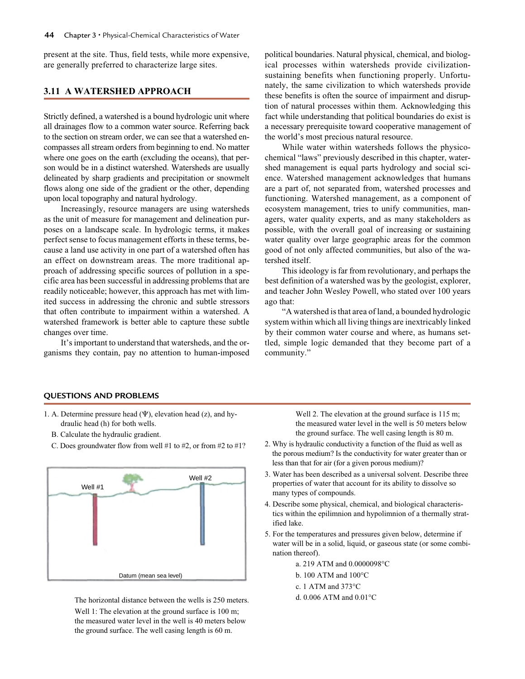present at the site. Thus, field tests, while more expensive, are generally preferred to characterize large sites.

### **3.11 A WATERSHED APPROACH**

Strictly defined, a watershed is a bound hydrologic unit where all drainages flow to a common water source. Referring back to the section on stream order, we can see that a watershed encompasses all stream orders from beginning to end. No matter where one goes on the earth (excluding the oceans), that person would be in a distinct watershed. Watersheds are usually delineated by sharp gradients and precipitation or snowmelt flows along one side of the gradient or the other, depending upon local topography and natural hydrology.

Increasingly, resource managers are using watersheds as the unit of measure for management and delineation purposes on a landscape scale. In hydrologic terms, it makes perfect sense to focus management efforts in these terms, because a land use activity in one part of a watershed often has an effect on downstream areas. The more traditional approach of addressing specific sources of pollution in a specific area has been successful in addressing problems that are readily noticeable; however, this approach has met with limited success in addressing the chronic and subtle stressors that often contribute to impairment within a watershed. A watershed framework is better able to capture these subtle changes over time.

It's important to understand that watersheds, and the organisms they contain, pay no attention to human-imposed political boundaries. Natural physical, chemical, and biological processes within watersheds provide civilizationsustaining benefits when functioning properly. Unfortunately, the same civilization to which watersheds provide these benefits is often the source of impairment and disruption of natural processes within them. Acknowledging this fact while understanding that political boundaries do exist is a necessary prerequisite toward cooperative management of the world's most precious natural resource.

While water within watersheds follows the physicochemical "laws" previously described in this chapter, watershed management is equal parts hydrology and social science. Watershed management acknowledges that humans are a part of, not separated from, watershed processes and functioning. Watershed management, as a component of ecosystem management, tries to unify communities, managers, water quality experts, and as many stakeholders as possible, with the overall goal of increasing or sustaining water quality over large geographic areas for the common good of not only affected communities, but also of the watershed itself.

This ideology is far from revolutionary, and perhaps the best definition of a watershed was by the geologist, explorer, and teacher John Wesley Powell, who stated over 100 years ago that:

"A watershed is that area of land, a bounded hydrologic system within which all living things are inextricably linked by their common water course and where, as humans settled, simple logic demanded that they become part of a community."

#### **QUESTIONS AND PROBLEMS**

- 1. A. Determine pressure head  $(\Psi)$ , elevation head (z), and hydraulic head (h) for both wells.
	- B. Calculate the hydraulic gradient.
	- C. Does groundwater flow from well #1 to #2, or from #2 to #1?



The horizontal distance between the wells is 250 meters. d. 0.006 ATM and 0.01 °C Well 1: The elevation at the ground surface is 100 m; the measured water level in the well is 40 meters below the ground surface. The well casing length is 60 m.

Well 2. The elevation at the ground surface is 115 m; the measured water level in the well is 50 meters below the ground surface. The well casing length is 80 m.

- 2. Why is hydraulic conductivity a function of the fluid as well as the porous medium? Is the conductivity for water greater than or less than that for air (for a given porous medium)?
- 3. Water has been described as a universal solvent. Describe three properties of water that account for its ability to dissolve so many types of compounds.
- 4. Describe some physical, chemical, and biological characteristics within the epilimnion and hypolimnion of a thermally stratified lake.
- 5. For the temperatures and pressures given below, determine if water will be in a solid, liquid, or gaseous state (or some combination thereof).

a. 219 ATM and 0.0000098°C

- b. 100 ATM and 100°C
- c. 1 ATM and 373°C
-